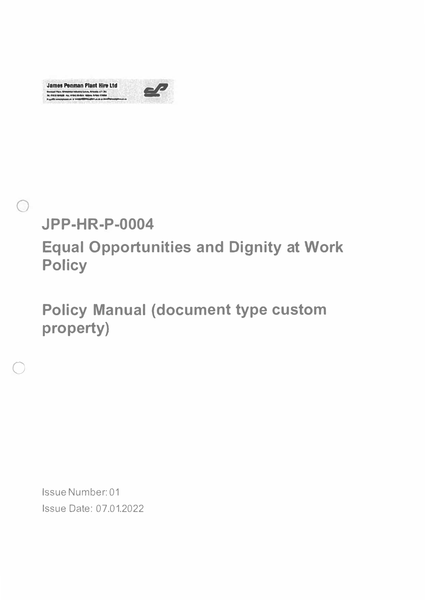**James Penman Plant Hire Ltd** Direkani Pince, Mikhaikian kabushid Luban, Abhasid; n.T.I. 242<br>Tal, 816 54 664538 - Paul VII at Ali 4 - Ingeles, Armei, Ingeles





 $\bigcirc$ 

**Equal Opportunities and Dignity at Work Policy** 

**Policy Manual (document type custom** property)

Issue Number: 01 **Issue Date: 07.01.2022**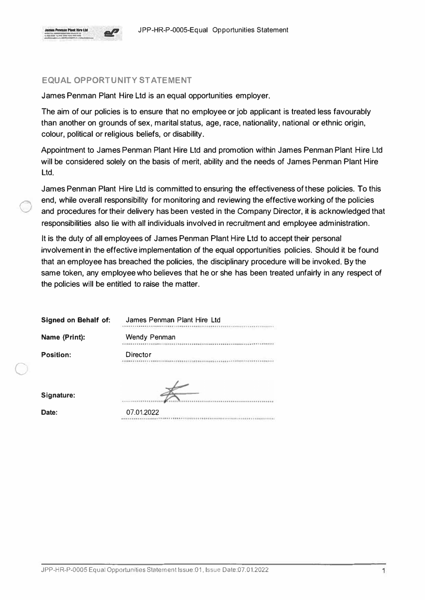$\bigcirc$ 

#### **EQUAL OPPORTUNITY STATEMENT**

James Penman Plant Hire Ltd is an equal opportunities employer.

The aim of our policies is to ensure that no employee or job applicant is treated less favourably than another on grounds of sex, marital status, age, race, nationality, national or ethnic origin, colour, political or religious beliefs, or disability.

Appointment to James Penman Plant Hire Ltd and promotion within James Penman Plant Hire Ltd will be considered solely on the basis of merit, ability and the needs of James Penman Plant Hire Ltd.

James Penman Plant Hire Ltd is committed to ensuring the effectiveness of these policies. To this end, while overall responsibility for monitoring and reviewing the effective working of the policies and procedures for their delivery has been vested in the Company Director, it is acknowledged that responsibilities also lie with all individuals involved in recruitment and employee administration.

It is the duty of all employees of James Penman Plant Hire Ltd to accept their personal involvement in the effective implementation of the equal opportunities policies. Should it be found that an employee has breached the policies, the disciplinary procedure will be invoked. By the same token, any employee who believes that he or she has been treated unfairly in any respect of the policies will be entitled to raise the matter.

| <b>Signed on Behalf of:</b> | James Penman Plant Hire Ltd |
|-----------------------------|-----------------------------|
| Name (Print):               | Wendy Penman                |
| Position:                   | Director                    |
| Signature:                  |                             |
| Date:                       | 07.01.2022                  |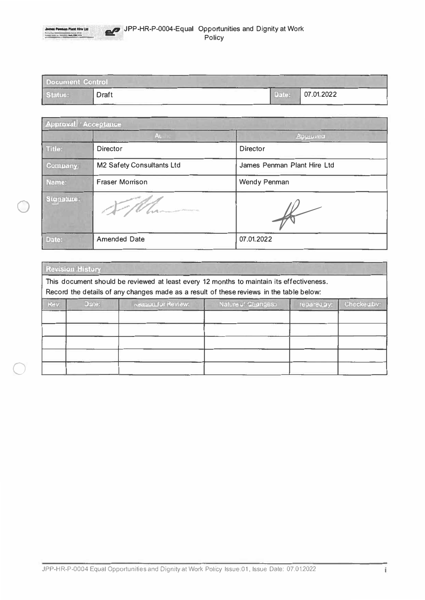| James Pennaio Plant Hire Ltd.<br><b>Brown Plan Garrent Communications</b> Support (F) 80<br>The straight stations days from growing Shapes, where however,<br>and the party of the party of the party of the party of the party of the party of the party of the party of | JPP-HR-P-0004-Equal Opportunities and Dignity at Work<br>Policy |
|---------------------------------------------------------------------------------------------------------------------------------------------------------------------------------------------------------------------------------------------------------------------------|-----------------------------------------------------------------|
|                                                                                                                                                                                                                                                                           |                                                                 |

| <b>Document Control</b> |       | $-$ |                  |
|-------------------------|-------|-----|------------------|
| Status:                 | Draft |     | Date: 07.01.2022 |

| <b>Approval</b> / Acceptance |                           |                             |
|------------------------------|---------------------------|-----------------------------|
|                              | <b>Authen</b>             | Approved                    |
| Title:                       | <b>Director</b>           | <b>Director</b>             |
| Company                      | M2 Safety Consultants Ltd | James Penman Plant Hire Ltd |
| Name:                        | <b>Fraser Morrison</b>    | Wendy Penman                |
| Signature.                   | <b>MARCHINER</b>          |                             |
| Date:                        | <b>Amended Date</b>       | 07.01.2022                  |

| <b>Revision History</b>                                                                                                                                                             |       |                            |                    |             |             |
|-------------------------------------------------------------------------------------------------------------------------------------------------------------------------------------|-------|----------------------------|--------------------|-------------|-------------|
| This document should be reviewed at least every 12 months to maintain its effectiveness.<br>Record the details of any changes made as a result of these reviews in the table below: |       |                            |                    |             |             |
| Rev:                                                                                                                                                                                | Date: | <b>Relason for Review:</b> | Nature of Changes: | repared by: | Checkedlby: |
|                                                                                                                                                                                     |       |                            |                    |             |             |
|                                                                                                                                                                                     |       |                            |                    |             |             |
|                                                                                                                                                                                     |       |                            |                    |             |             |
|                                                                                                                                                                                     |       |                            |                    |             |             |
|                                                                                                                                                                                     |       |                            |                    |             |             |

JPP-HR-P-0004 Equal Opportunities and Dignity at Work Policy Issue 01, Issue Date: 07.012022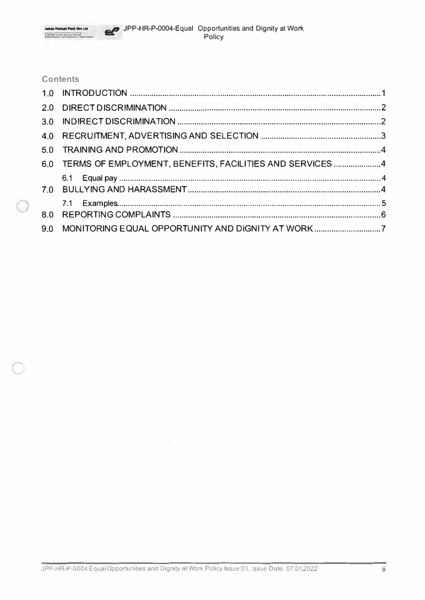# **Contents**

 $\bigcirc$ 

| 6.0 TERMS OF EMPLOYMENT, BENEFITS, FACILITIES AND SERVICES4 |  |
|-------------------------------------------------------------|--|
|                                                             |  |
|                                                             |  |
|                                                             |  |
|                                                             |  |
| 9.0 MONITORING EQUAL OPPORTUNITY AND DIGNITY AT WORK7       |  |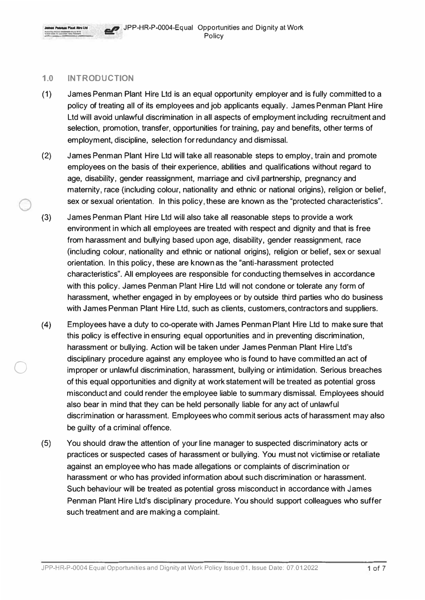

#### **1.0 INTRODUCTION**

 $\bigcirc$ 

- (1) James Penman Plant Hire Ltd is an equal opportunity employer and is fully committed to a policy of treating all of its employees and job applicants equally. James Penman Plant Hire Ltd will avoid unlawful discrimination in all aspects of employment including recruitment and selection, promotion, transfer, opportunities for training, pay and benefits, other terms of employment, discipline, selection for redundancy and dismissal.
- (2) James Penman Plant Hire Ltd will take all reasonable steps to employ, train and promote employees on the basis of their experience, abilities and qualifications without regard to age, disability, gender reassignment, marriage and civil partnership, pregnancy and maternity, race (including colour, nationality and ethnic or national origins), religion or belief, sex or sexual orientation. In this policy, these are known as the "protected characteristics".
- (3) James Penman Plant Hire Ltd will also take all reasonable steps to provide a work environment in which all employees are treated with respect and dignity and that is free from harassment and bullying based upon age, disability, gender reassignment, race (including colour, nationality and ethnic or national origins), religion or belief, sex or sexual orientation. In this policy, these are known as the "anti-harassment protected characteristics". All employees are responsible for conducting themselves in accordance with this policy. James Penman Plant Hire Ltd will not condone or tolerate any form of harassment, whether engaged in by employees or by outside third parties who do business with James Penman Plant Hire Ltd, such as clients, customers, contractors and suppliers.
- (4) Employees have a duty to co-operate with James Penman Plant Hire Ltd to make sure that this policy is effective in ensuring equal opportunities and in preventing discrimination, harassment or bullying. Action will be taken under James Penman Plant Hire Ltd's disciplinary procedure against any employee who is found to have committed an act of improper or unlawful discrimination, harassment, bullying or intimidation. Serious breaches of this equal opportunities and dignity at work statement will be treated as potential gross misconduct and could render the employee liable to summary dismissal. Employees should also bear in mind that they can be held personally liable for any act of unlawful discrimination or harassment. Employees who commit serious acts of harassment may also be guilty of a criminal offence.
- (5) You should draw the attention of your line manager to suspected discriminatory acts or practices or suspected cases of harassment or bullying. You must not victimise or retaliate against an employee who has made allegations or complaints of discrimination or harassment or who has provided information about such discrimination or harassment. Such behaviour will be treated as potential gross misconduct in accordance with James Penman Plant Hire Ltd's disciplinary procedure. You should support colleagues who suffer such treatment and are making a complaint.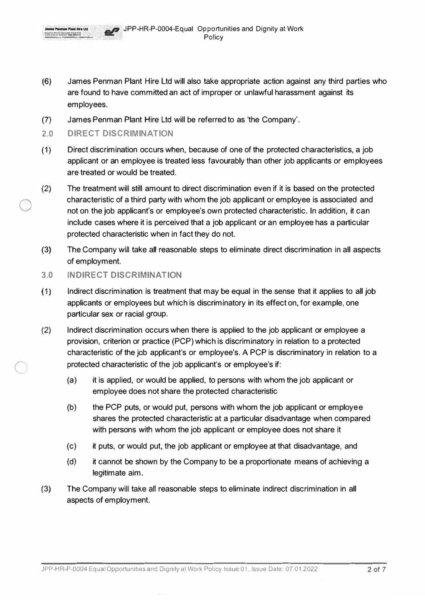- (6) James Penman Plant Hire Ltd will also take appropriate action against any third parties who are found to have committed an act of improper or unlawful harassment against its employees.
- (7) James Penman Plant Hire Ltd will be referred to as 'the Company'.
- **2.0 DIRECT DISCRIMINATION**
- (1) Direct discrimination occurs when, because of one of the protected characteristics, a job applicant or an employee is treated less favourably than other job applicants or employees are treated or would be treated.
- (2) The treatment will still amount to direct discrimination even if it is based on the protected characteristic of a third party with whom the job applicant or employee is associated and not on the job applicant's or employee's own protected characteristic. In addition, it can include cases where it is perceived that a job applicant or an employee has a particular protected characteristic when in fact they do not.
- (3) The Company will take all reasonable steps to eliminate direct discrimination in all aspects of employment.
- **3.0 INDIRECT DISCRIMINATION**
- (1) Indirect discrimination is treatment that may be equal in the sense that it applies to all job applicants or employees but which is discriminatory in its effect on, for example, one particular sex or racial group.
- (2) Indirect discrimination occurs when there is applied to the job applicant or employee a provision, criterion or practice (PCP) which is discriminatory in relation to a protected characteristic of the job applicant's or employee's. A PCP is discriminatory in relation to a protected characteristic of the job applicant's or employee's if:
	- (a) it is applied, or would be applied, to persons with whom the job applicant or employee does not share the protected characteristic
	- (b) the PCP puts, or would put, persons with whom the job applicant or employee shares the protected characteristic at a particular disadvantage when compared with persons with whom the job applicant or employee does not share it
	- (c) it puts, or would put, the job applicant or employee at that disadvantage, and
	- (d) it cannot be shown by the Company to be a proportionate means of achieving a legitimate aim.
- (3) The Company will take all reasonable steps to eliminate indirect discrimination in all aspects of employment.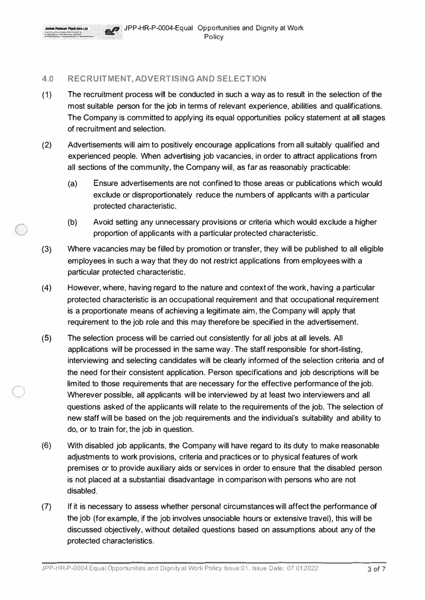

 $\bigcirc$ 

## **4.0 RECRUITMENT, ADVERTISING AND SELECTION**

- ( 1) The recruitment process will be conducted in such a way as to result in the selection of the most suitable person for the job in terms of relevant experience, abilities and qualifications. The Company is committed to applying its equal opportunities policy statement at all stages of recruitment and selection.
- (2) Advertisements will aim to positively encourage applications from all suitably qualified and experienced people. When advertising job vacancies, in order to attract applications from all sections of the community, the Company will, as far as reasonably practicable:
	- (a) Ensure advertisements are not confined to those areas or publications which would exclude or disproportionately reduce the numbers of applicants with a particular protected characteristic.
	- (b) Avoid setting any unnecessary provisions or criteria which would exclude a higher proportion of applicants with a particular protected characteristic.
- (3) Where vacancies may be filled by promotion or transfer, they will be published to all eligible employees in such a way that they do not restrict applications from employees with a particular protected characteristic.
- (4) However, where, having regard to the nature and context of the work, having a particular protected characteristic is an occupational requirement and that occupational requirement is a proportionate means of achieving a legitimate aim, the Company will apply that requirement to the job role and this may therefore be specified in the advertisement.
- (5) The selection process will be carried out consistently for all jobs at all levels. All applications will be processed in the same way. The staff responsible for short-listing, interviewing and selecting candidates will be clearly informed of the selection criteria and of the need for their consistent application. Person specifications and job descriptions will be limited to those requirements that are necessary for the effective performance of the job. Wherever possible, all applicants will be interviewed by at least two interviewers and all questions asked of the applicants will relate to the requirements of the job. The selection of new staff will be based on the job requirements and the individual's suitability and ability to do, or to train for, the job in question.
- (6) With disabled job applicants, the Company will have regard to its duty to make reasonable adjustments to work provisions, criteria and practices or to physical features of work premises or to provide auxiliary aids or services in order to ensure that the disabled person is not placed at a substantial disadvantage in comparison with persons who are not disabled.
- (7) If it is necessary to assess whether personal circumstances will affect the performance of the job (for example, if the job involves unsociable hours or extensive travel), this will be discussed objectively, without detailed questions based on assumptions about any of the protected characteristics.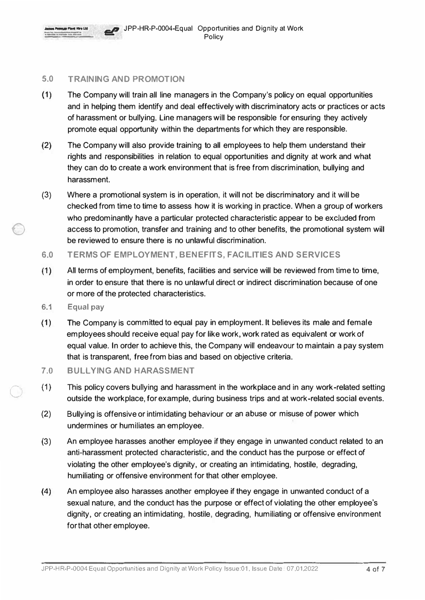

#### **5.0 TRAINING AND PROMOTION**

- (1) The Company will train all line managers in the Company's policy on equal opportunities and in helping them identify and deal effectively with discriminatory acts or practices or acts of harassment or bullying. Line managers will be responsible for ensuring they actively promote equal opportunity within the departments for which they are responsible.
- (2) The Company will also provide training to all employees to help them understand their rights and responsibilities in relation to equal opportunities and dignity at work and what they can do to create a work environment that is free from discrimination, bullying and harassment.
- (3) Where a promotional system is in operation, it will not be discriminatory and it will be checked from time to time to assess how it is working in practice. When a group of workers who predominantly have a particular protected characteristic appear to be excluded from access to promotion, transfer and training and to other benefits, the promotional system will be reviewed to ensure there is no unlawful discrimination.
- **6.0 TERMS OF EMPLOYMENT, BENEFITS, FACILITIES AND SERVICES**
- (1) All terms of employment, benefits, facilities and service will be reviewed from time to time, in order to ensure that there is no unlawful direct or indirect discrimination because of one or more of the protected characteristics.
- **6.1 Equal pay**

- (1) The Company is committed to equal pay in employment. It believes its male and female employees should receive equal pay for like work, work rated as equivalent or work of equal value. In order to achieve this, the Company will endeavour to maintain a pay system that is transparent, free from bias and based on objective criteria.
- **7.0 BULLYING AND HARASSMENT**
- (1) This policy covers bullying and harassment in the workplace and in any work-related setting outside the workplace, for example, during business trips and at work-related social events.
- (2) Bullying is offensive or intimidating behaviour or an abuse or misuse of power which undermines or humiliates an employee.
- (3) An employee harasses another employee if they engage in unwanted conduct related to an anti-harassment protected characteristic, and the conduct has the purpose or effect of violating the other employee's dignity, or creating an intimidating, hostile, degrading, humiliating or offensive environment for that other employee.
- (4) An employee also harasses another employee if they engage in unwanted conduct of a sexual nature, and the conduct has the purpose or effect of violating the other employee's dignity, or creating an intimidating, hostile, degrading, humiliating or offensive environment for that other employee.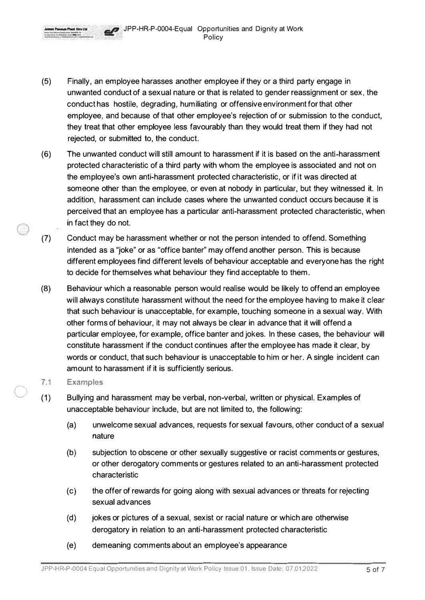**-4** JPP-HR-P-0004-Equal Opportunities and Dignity at Work Policy

- (5) Finally, an employee harasses another employee if they or a third party engage in unwanted conduct of a sexual nature or that is related to gender reassignment or sex, the conduct has hostile, degrading, humiliating or offensive environment for that other employee, and because of that other employee's rejection of or submission to the conduct, they treat that other employee less favourably than they would treat them if they had not rejected, or submitted to, the conduct.
- (6) The unwanted conduct will still amount to harassment if it is based on the anti-harassment protected characteristic of a third party with whom the employee is associated and not on the employee's own anti-harassment protected characteristic, or if it was directed at someone other than the employee, or even at nobody in particular, but they witnessed it. In addition, harassment can include cases where the unwanted conduct occurs because it is perceived that an employee has a particular anti-harassment protected characteristic, when in fact they do not.
- (7) Conduct may be harassment whether or not the person intended to offend. Something intended as a "joke" or as "office banter" may offend another person. This is because different employees find different levels of behaviour acceptable and everyone has the right to decide for themselves what behaviour they find acceptable to them.
- (8) Behaviour which a reasonable person would realise would be likely to offend an employee will always constitute harassment without the need for the employee having to make it clear that such behaviour is unacceptable, for example, touching someone in a sexual way. With other forms of behaviour, it may not always be clear in advance that it will offend a particular employee, for example, office banter and jokes. ln these cases, the behaviour will constitute harassment if the conduct continues after the employee has made it clear, by words or conduct, that such behaviour is unacceptable to him or her. A single incident can amount to harassment if it is sufficiently serious.

#### **7.1 Examples**

Shaplays Thing (Edgaware Indeed to Grade, Edward WPA City *Let designs believes* they

-·-·- .., \_\_\_\_ \_

 $\bigcirc$ 

- (1) Bullying and harassment may be verbal, non-verbal, written or physical. Examples of unacceptable behaviour include, but are not limited to, the following:
	- (a) unwelcome sexual advances, requests for sexual favours, other conduct of a sexual nature
	- (b) subjection to obscene or other sexually suggestive or racist comments or gestures, or other derogatory comments or gestures related to an anti-harassment protected characteristic
	- (c) the offer of rewards for going along with sexual advances or threats for rejecting sexual advances
	- (d) jokes or pictures of a sexual, sexist or racial nature or which are otherwise derogatory in relation to an anti-harassment protected characteristic
	- (e) demeaning comments about an employee's appearance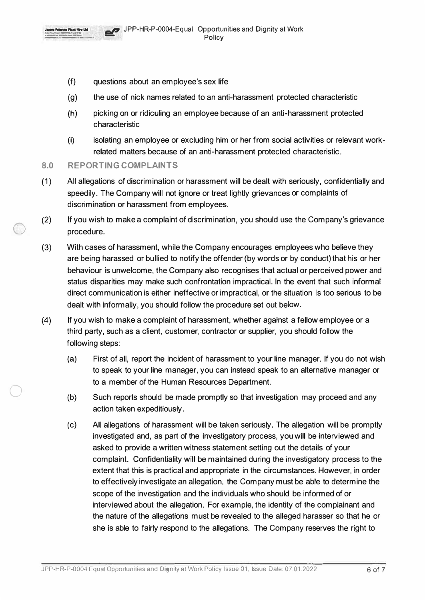

- (f) questions about an employee's sex life
- (g) the use of nick names related to an anti-harassment protected characteristic
- (h) picking on or ridiculing an employee because of an anti-harassment protected characteristic
- (i) isolating an employee or excluding him or her from social activities or relevant workrelated matters because of an anti-harassment protected characteristic.
- **8.0 REPORTING COMPLAINTS**
- (1) All allegations of discrimination or harassment will be dealt with seriously, confidentially and speedily. The Company will not ignore or treat lightly grievances or complaints of discrimination or harassment from employees.
- (2) If you wish to make a complaint of discrimination, you should use the Company's grievance procedure.
- (3) With cases of harassment, while the Company encourages employees who believe they are being harassed or bullied to notify the offender (by words or by conduct) that his or her behaviour is unwelcome, the Company also recognises that actual or perceived power and status disparities may make such confrontation impractical. In the event that such informal direct communication is either ineffective or impractical, or the situation is too serious to be dealt with informally, you should follow the procedure set out below.
- (4) If you wish to make a complaint of harassment, whether against a fellow employee or a third party, such as a client, customer, contractor or supplier, you should follow the following steps:
	- (a) First of all, report the incident of harassment to your line manager. If you do not wish to speak to your line manager, you can instead speak to an alternative manager or to a member of the Human Resources Department.
	- (b) Such reports should be made promptly so that investigation may proceed and any action taken expeditiously.
	- (c) All allegations of harassment will be taken seriously. The allegation will be promptly investigated and, as part of the investigatory process, you will be interviewed and asked to provide a written witness statement setting out the details of your complaint. Confidentiality will be maintained during the investigatory process to the extent that this is practical and appropriate in the circumstances. However, in order to effectively investigate an allegation, the Company must be able to determine the scope of the investigation and the individuals who should be informed of or interviewed about the allegation. For example, the identity of the complainant and the nature of the allegations must be revealed to the alleged harasser so that he or she is able to fairly respond to the allegations. The Company reserves the right to